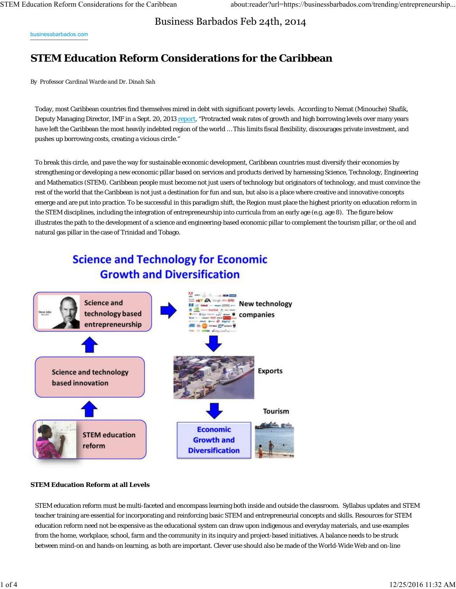Business Barbados Feb 24th, 2014

businessbarbados.com

## **STEM Education Reform Considerations for the Caribbean**

*By Professor Cardinal Warde and Dr. Dinah Sah*

Today, most Caribbean countries find themselves mired in debt with significant poverty levels. According to Nemat (Minouche) Shafik, Deputy Managing Director, IMF in a Sept. 20, 2013 report, "Protracted weak rates of growth and high borrowing levels over many years have left the Caribbean the most heavily indebted region of the world … This limits fiscal flexibility, discourages private investment, and pushes up borrowing costs, creating a vicious circle."

To break this circle, and pave the way for sustainable economic development, Caribbean countries must diversify their economies by strengthening or developing a new economic pillar based on services and products derived by harnessing Science, Technology, Engineering and Mathematics (STEM). Caribbean people must become not just users of technology but originators of technology, and must convince the rest of the world that the Caribbean is not just a destination for fun and sun, but also is a place where creative and innovative concepts emerge and are put into practice. To be successful in this paradigm shift, the Region must place the highest priority on education reform in the STEM disciplines, including the integration of entrepreneurship into curricula from an early age (e.g. age 8). The figure below illustrates the path to the development of a science and engineering-based economic pillar to complement the tourism pillar, or the oil and natural gas pillar in the case of Trinidad and Tobago.

# **Science and Technology for Economic Growth and Diversification**



### **STEM Education Reform at all Levels**

STEM education reform must be multi-faceted and encompass learning both inside and outside the classroom. Syllabus updates and STEM teacher training are essential for incorporating and reinforcing basic STEM and entrepreneurial concepts and skills. Resources for STEM education reform need not be expensive as the educational system can draw upon indigenous and everyday materials, and use examples from the home, workplace, school, farm and the community in its inquiry and project-based initiatives. A balance needs to be struck between mind-on and hands-on learning, as both are important. Clever use should also be made of the World-Wide Web and on-line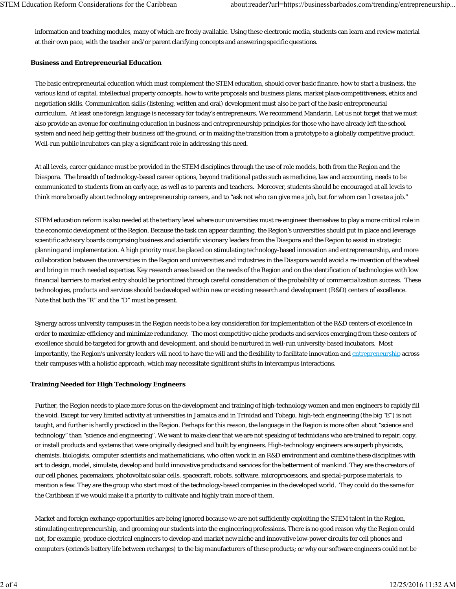information and teaching modules, many of which are freely available. Using these electronic media, students can learn and review material at their own pace, with the teacher and/or parent clarifying concepts and answering specific questions.

## **Business and Entrepreneurial Education**

The basic entrepreneurial education which must complement the STEM education, should cover basic finance, how to start a business, the various kind of capital, intellectual property concepts, how to write proposals and business plans, market place competitiveness, ethics and negotiation skills. Communication skills (listening, written and oral) development must also be part of the basic entrepreneurial curriculum. At least one foreign language is necessary for today's entrepreneurs. We recommend Mandarin. Let us not forget that we must also provide an avenue for continuing education in business and entrepreneurship principles for those who have already left the school system and need help getting their business off the ground, or in making the transition from a prototype to a globally competitive product. Well-run public incubators can play a significant role in addressing this need.

At all levels, career guidance must be provided in the STEM disciplines through the use of role models, both from the Region and the Diaspora. The breadth of technology-based career options, beyond traditional paths such as medicine, law and accounting, needs to be communicated to students from an early age, as well as to parents and teachers. Moreover, students should be encouraged at all levels to think more broadly about technology entrepreneurship careers, and to "ask not who can give me a job, but for whom can I create a job."

STEM education reform is also needed at the tertiary level where our universities must re-engineer themselves to play a more critical role in the economic development of the Region. Because the task can appear daunting, the Region's universities should put in place and leverage scientific advisory boards comprising business and scientific visionary leaders from the Diaspora and the Region to assist in strategic planning and implementation. A high priority must be placed on stimulating technology-based innovation and entrepreneurship, and more collaboration between the universities in the Region and universities and industries in the Diaspora would avoid a re-invention of the wheel and bring in much needed expertise. Key research areas based on the needs of the Region and on the identification of technologies with low financial barriers to market entry should be prioritized through careful consideration of the probability of commercialization success. These technologies, products and services should be developed within new or existing research and development (R&D) centers of excellence. Note that both the "R" and the "D" must be present.

Synergy across university campuses in the Region needs to be a key consideration for implementation of the R&D centers of excellence in order to maximize efficiency and minimize redundancy. The most competitive niche products and services emerging from these centers of excellence should be targeted for growth and development, and should be nurtured in well-run university-based incubators. Most importantly, the Region's university leaders will need to have the will and the flexibility to facilitate innovation and entrepreneurship across their campuses with a holistic approach, which may necessitate significant shifts in intercampus interactions.

## **Training Needed for High Technology Engineers**

Further, the Region needs to place more focus on the development and training of high-technology women and men engineers to rapidly fill the void. Except for very limited activity at universities in Jamaica and in Trinidad and Tobago, high-tech engineering (the big "E") is not taught, and further is hardly practiced in the Region. Perhaps for this reason, the language in the Region is more often about "science and technology" than "science and engineering". We want to make clear that we are not speaking of technicians who are trained to repair, copy, or install products and systems that were originally designed and built by engineers. High-technology engineers are superb physicists, chemists, biologists, computer scientists and mathematicians, who often work in an R&D environment and combine these disciplines with art to design, model, simulate, develop and build innovative products and services for the betterment of mankind. They are the creators of our cell phones, pacemakers, photovoltaic solar cells, spacecraft, robots, software, microprocessors, and special-purpose materials, to mention a few. They are the group who start most of the technology-based companies in the developed world. They could do the same for the Caribbean if we would make it a priority to cultivate and highly train more of them.

Market and foreign exchange opportunities are being ignored because we are not sufficiently exploiting the STEM talent in the Region, stimulating entrepreneurship, and grooming our students into the engineering professions. There is no good reason why the Region could not, for example, produce electrical engineers to develop and market new niche and innovative low-power circuits for cell phones and computers (extends battery life between recharges) to the big manufacturers of these products; or why our software engineers could not be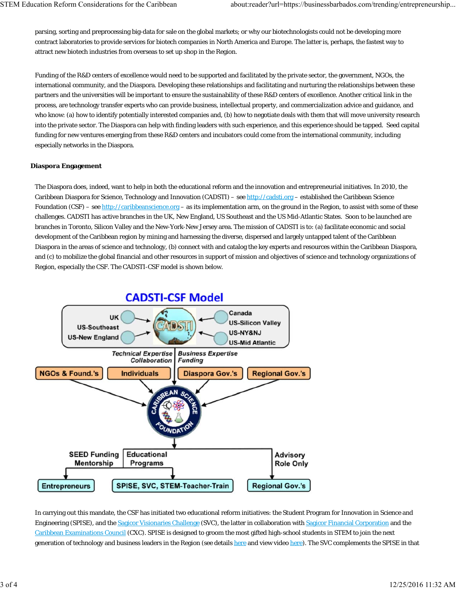parsing, sorting and preprocessing big-data for sale on the global markets; or why our biotechnologists could not be developing more contract laboratories to provide services for biotech companies in North America and Europe. The latter is, perhaps, the fastest way to attract new biotech industries from overseas to set up shop in the Region.

Funding of the R&D centers of excellence would need to be supported and facilitated by the private sector, the government, NGOs, the international community, and the Diaspora. Developing these relationships and facilitating and nurturing the relationships between these partners and the universities will be important to ensure the sustainability of these R&D centers of excellence. Another critical link in the process, are technology transfer experts who can provide business, intellectual property, and commercialization advice and guidance, and who know: (a) how to identify potentially interested companies and, (b) how to negotiate deals with them that will move university research into the private sector. The Diaspora can help with finding leaders with such experience, and this experience should be tapped. Seed capital funding for new ventures emerging from these R&D centers and incubators could come from the international community, including especially networks in the Diaspora.

### **Diaspora Engagement**

The Diaspora does, indeed, want to help in both the educational reform and the innovation and entrepreneurial initiatives. In 2010, the Caribbean Diaspora for Science, Technology and Innovation (CADSTI) – see http://cadsti.org – established the Caribbean Science Foundation (CSF) – see http://caribbeanscience.org – as its implementation arm, on the ground in the Region, to assist with some of these challenges. CADSTI has active branches in the UK, New England, US Southeast and the US Mid-Atlantic States. Soon to be launched are branches in Toronto, Silicon Valley and the New-York-New Jersey area. The mission of CADSTI is to: (a) facilitate economic and social development of the Caribbean region by mining and harnessing the diverse, dispersed and largely untapped talent of the Caribbean Diaspora in the areas of science and technology, (b) connect with and catalog the key experts and resources within the Caribbean Diaspora, and (c) to mobilize the global financial and other resources in support of mission and objectives of science and technology organizations of Region, especially the CSF. The CADSTI-CSF model is shown below.



In carrying out this mandate, the CSF has initiated two educational reform initiatives: the Student Program for Innovation in Science and Engineering (SPISE), and the Sagicor Visionaries Challenge (SVC), the latter in collaboration with Sagicor Financial Corporation and the Caribbean Examinations Council (CXC). SPISE is designed to groom the most gifted high-school students in STEM to join the next generation of technology and business leaders in the Region (see details here and view video here). The SVC complements the SPISE in that